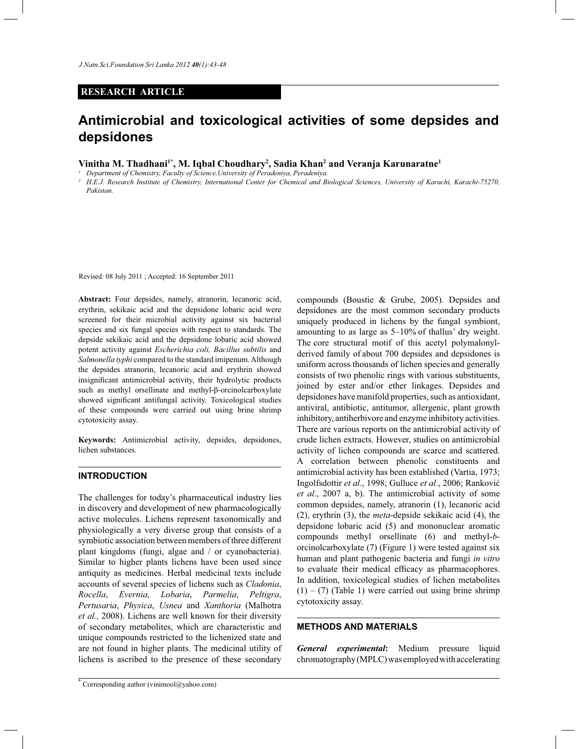# **RESEARCH ARTICLE**

# **Antimicrobial and toxicological activities of some depsides and depsidones**

**Vinitha M. Thadhani1\*, M. Iqbal Choudhary<sup>2</sup> , Sadia Khan<sup>2</sup> and Veranja Karunaratne<sup>1</sup>**

*1 Department of Chemistry, Faculty of Science,University of Peradeniya, Peradeniya.*

*2 H.E.J. Research Institute of Chemistry, International Center for Chemical and Biological Sciences, University of Karachi, Karachi-75270, Pakistan.*

Revised: 08 July 2011 ; Accepted: 16 September 2011

**Abstract:** Four depsides, namely, atranorin, lecanoric acid, erythrin, sekikaic acid and the depsidone lobaric acid were screened for their microbial activity against six bacterial species and six fungal species with respect to standards. The depside sekikaic acid and the depsidone lobaric acid showed potent activity against *Escherichia coli, Bacillus subtilis* and *Salmonella typhi* compared to the standard imipenum. Although the depsides atranorin, lecanoric acid and erythrin showed insignificant antimicrobial activity, their hydrolytic products such as methyl orsellinate and methyl-β-orcinolcarboxylate showed significant antifungal activity. Toxicological studies of these compounds were carried out using brine shrimp cytotoxicity assay.

**Keywords:** Antimicrobial activity, depsides, depsidones, lichen substances.

### **INTRODUCTION**

The challenges for today's pharmaceutical industry lies in discovery and development of new pharmacologically active molecules. Lichens represent taxonomically and physiologically a very diverse group that consists of a symbiotic association between members of three different plant kingdoms (fungi, algae and / or cyanobacteria). Similar to higher plants lichens have been used since antiquity as medicines. Herbal medicinal texts include accounts of several species of lichens such as *Cladonia*, *Rocella*, *Evernia*, *Lobaria*, *Parmelia*, *Peltigra*, *Pertusaria*, *Physica*, *Usnea* and *Xanthoria* (Malhotra *et al.,* 2008). Lichens are well known for their diversity of secondary metabolites, which are characteristic and unique compounds restricted to the lichenized state and are not found in higher plants. The medicinal utility of lichens is ascribed to the presence of these secondary

compounds (Boustie & Grube, 2005). Depsides and depsidones are the most common secondary products uniquely produced in lichens by the fungal symbiont, amounting to as large as 5–10% of thallus' dry weight. The core structural motif of this acetyl polymalonylderived family of about 700 depsides and depsidones is uniform across thousands of lichen species and generally consists of two phenolic rings with various substituents, joined by ester and/or ether linkages. Depsides and depsidones have manifold properties, such as antioxidant, antiviral, antibiotic, antitumor, allergenic, plant growth inhibitory, antiherbivore and enzyme inhibitory activities. There are various reports on the antimicrobial activity of crude lichen extracts. However, studies on antimicrobial activity of lichen compounds are scarce and scattered. A correlation between phenolic constituents and antimicrobial activity has been established (Vartia, 1973; Ingolfsdottir *et al*., 1998; Gulluce *et al*., 2006; Ranković *et al*., 2007 a, b). The antimicrobial activity of some common depsides, namely, atranorin (1), lecanoric acid (2), erythrin (3), the *meta*-depside sekikaic acid (4), the depsidone lobaric acid (5) and mononuclear aromatic compounds methyl orsellinate (6) and methyl-*b*orcinolcarboxylate (7) (Figure 1) were tested against six human and plant pathogenic bacteria and fungi *in vitro* to evaluate their medical efficacy as pharmacophores. In addition, toxicological studies of lichen metabolites  $(1) - (7)$  (Table 1) were carried out using brine shrimp cytotoxicity assay.

## **METHODS AND MATERIALS**

*General experimental***:** Medium pressure liquid chromatography (MPLC) was employed with accelerating

<sup>\*</sup> Corresponding author (vinimool@yahoo.com)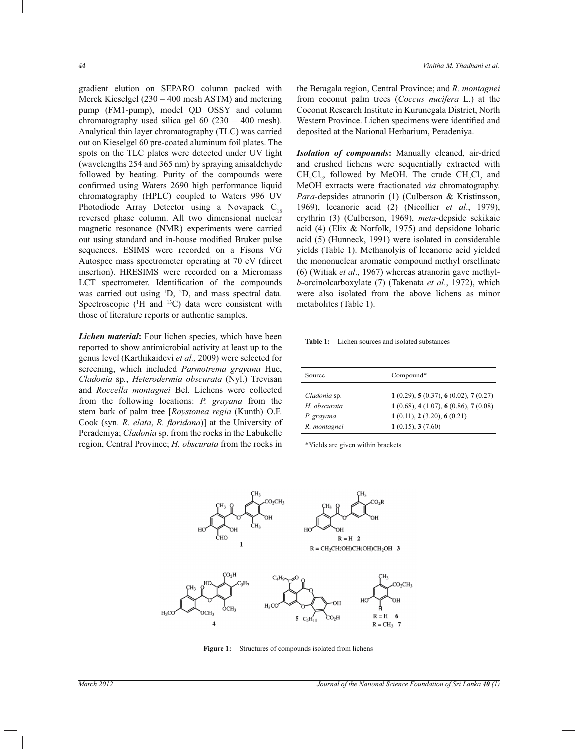gradient elution on SEPARO column packed with Merck Kieselgel (230 *–* 400 mesh ASTM) and metering pump (FM1-pump), model QD OSSY and column chromatography used silica gel 60 (230 *–* 400 mesh). Analytical thin layer chromatography (TLC) was carried out on Kieselgel 60 pre-coated aluminum foil plates. The spots on the TLC plates were detected under UV light (wavelengths 254 and 365 nm) by spraying anisaldehyde followed by heating. Purity of the compounds were confirmed using Waters 2690 high performance liquid chromatography (HPLC) coupled to Waters 996 UV Photodiode Array Detector using a Novapack  $C_{18}$ reversed phase column. All two dimensional nuclear magnetic resonance (NMR) experiments were carried out using standard and in-house modified Bruker pulse sequences. ESIMS were recorded on a Fisons VG Autospec mass spectrometer operating at 70 eV (direct insertion). HRESIMS were recorded on a Micromass LCT spectrometer. Identification of the compounds was carried out using <sup>1</sup>D, <sup>2</sup>D, and mass spectral data. Spectroscopic  $(1H \text{ and } 13C)$  data were consistent with those of literature reports or authentic samples.

*Lichen material***:** Four lichen species, which have been reported to show antimicrobial activity at least up to the genus level (Karthikaidevi *et al.,* 2009) were selected for screening, which included *Parmotrema grayana* Hue, *Cladonia* sp*.*, *Heterodermia obscurata* (Nyl.) Trevisan and *Roccella montagnei* Bel. Lichens were collected from the following locations: *P. grayana* from the stem bark of palm tree [*Roystonea regia* (Kunth) O.F. Cook (syn. *R. elata*, *R. floridana*)] at the University of Peradeniya; *Cladonia* sp. from the rocks in the Labukelle region, Central Province; *H. obscurata* from the rocks in the Beragala region, Central Province; and *R. montagnei* from coconut palm trees (*Coccus nucifera* L.) at the Coconut Research Institute in Kurunegala District, North Western Province. Lichen specimens were identified and deposited at the National Herbarium, Peradeniya.

*Isolation of compounds***:** Manually cleaned, air-dried and crushed lichens were sequentially extracted with  $CH_2Cl_2$ , followed by MeOH. The crude  $CH_2Cl_2$  and MeOH extracts were fractionated *via* chromatography. *Para*-depsides atranorin (1) (Culberson & Kristinsson, 1969), lecanoric acid (2) (Nicollier *et al*., 1979), erythrin (3) (Culberson, 1969), *meta*-depside sekikaic acid (4) (Elix & Norfolk, 1975) and depsidone lobaric acid (5) (Hunneck, 1991) were isolated in considerable yields (Table 1). Methanolyis of lecanoric acid yielded the mononuclear aromatic compound methyl orsellinate (6) (Witiak *et al*., 1967) whereas atranorin gave methyl*b*-orcinolcarboxylate (7) (Takenata *et al*., 1972), which were also isolated from the above lichens as minor metabolites (Table 1).

**Table 1:** Lichen sources and isolated substances

| Source       | Compound*                          |
|--------------|------------------------------------|
| Cladonia sp. | 1(0.29), 5(0.37), 6(0.02), 7(0.27) |
| H. obscurata | 1(0.68), 4(1.07), 6(0.86), 7(0.08) |
| P. grayana   | 1(0.11), 2(3.20), 6(0.21)          |
| R. montagnei | 1(0.15), 3(7.60)                   |

\*Yields are given within brackets



**Figure 1:** Structures of compounds isolated from lichens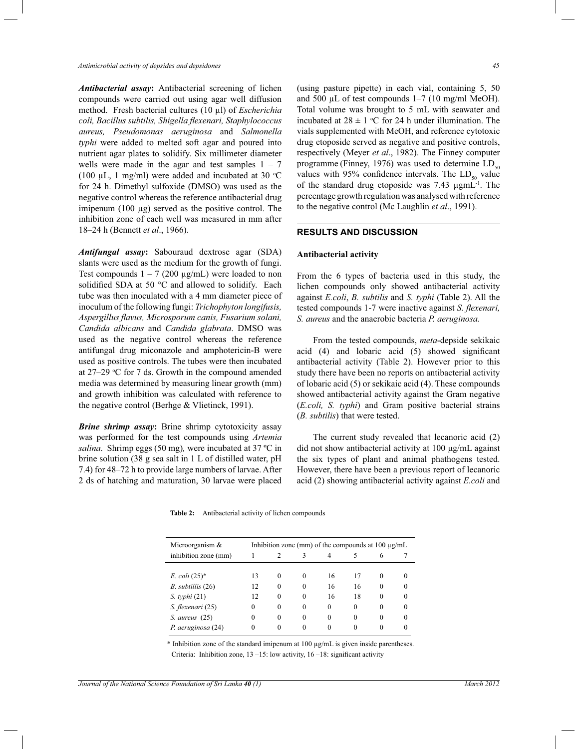*Antimicrobial activity of depsides and depsidones 45*

*Antibacterial assay***:** Antibacterial screening of lichen compounds were carried out using agar well diffusion method. Fresh bacterial cultures (10 µl) of *Escherichia coli, Bacillus subtilis, Shigella flexenari, Staphylococcus aureus, Pseudomonas aeruginosa* and *Salmonella typhi* were added to melted soft agar and poured into nutrient agar plates to solidify. Six millimeter diameter wells were made in the agar and test samples  $1 - 7$ (100  $\mu$ L, 1 mg/ml) were added and incubated at 30 °C for 24 h. Dimethyl sulfoxide (DMSO) was used as the negative control whereas the reference antibacterial drug imipenum (100 µg) served as the positive control. The inhibition zone of each well was measured in mm after 18*–*24 h (Bennett *et al*., 1966).

*Antifungal assay***:** Sabouraud dextrose agar (SDA) slants were used as the medium for the growth of fungi. Test compounds  $1 - 7$  (200  $\mu$ g/mL) were loaded to non solidified SDA at 50 °C and allowed to solidify. Each tube was then inoculated with a 4 mm diameter piece of inoculum of the following fungi: *Trichophyton longifusis, Aspergillus flavus, Microsporum canis, Fusarium solani, Candida albicans* and *Candida glabrata*. DMSO was used as the negative control whereas the reference antifungal drug miconazole and amphotericin-B were used as positive controls. The tubes were then incubated at 27–29 °C for 7 ds. Growth in the compound amended media was determined by measuring linear growth (mm) and growth inhibition was calculated with reference to the negative control (Berhge & Vlietinck, 1991).

*Brine shrimp assay***:** Brine shrimp cytotoxicity assay was performed for the test compounds using *Artemia salina*. Shrimp eggs (50 mg)*,* were incubated at 37 ºC in brine solution (38 g sea salt in 1 L of distilled water, pH 7.4) for 48*–*72 h to provide large numbers of larvae. After 2 ds of hatching and maturation, 30 larvae were placed

(using pasture pipette) in each vial, containing 5, 50 and 500 µL of test compounds 1*–*7 (10 mg/ml MeOH). Total volume was brought to 5 mL with seawater and incubated at  $28 \pm 1$  °C for 24 h under illumination. The vials supplemented with MeOH, and reference cytotoxic drug etoposide served as negative and positive controls, respectively (Meyer *et al*., 1982). The Finney computer programme (Finney, 1976) was used to determine  $LD_{50}$ values with 95% confidence intervals. The  $LD_{50}$  value of the standard drug etoposide was  $7.43 \mu$ gmL<sup>-1</sup>. The percentage growth regulation was analysed with reference to the negative control (Mc Laughlin *et al*., 1991).

### **RESULTS AND DISCUSSION**

## **Antibacterial activity**

From the 6 types of bacteria used in this study, the lichen compounds only showed antibacterial activity against *E.coli*, *B. subtilis* and *S. typhi* (Table 2). All the tested compounds 1-7 were inactive against *S. flexenari, S. aureus* and the anaerobic bacteria *P. aeruginosa.*

 From the tested compounds, *meta*-depside sekikaic acid (4) and lobaric acid (5) showed significant antibacterial activity (Table 2). However prior to this study there have been no reports on antibacterial activity of lobaric acid (5) or sekikaic acid (4). These compounds showed antibacterial activity against the Gram negative (*E.coli, S. typhi*) and Gram positive bacterial strains (*B. subtilis*) that were tested.

 The current study revealed that lecanoric acid (2) did not show antibacterial activity at 100 μg/mL against the six types of plant and animal phathogens tested. However, there have been a previous report of lecanoric acid (2) showing antibacterial activity against *E.coli* and

**Table 2:** Antibacterial activity of lichen compounds

| Microorganism &                 | Inhibition zone (mm) of the compounds at $100 \mu g/mL$ |          |          |          |          |          |          |
|---------------------------------|---------------------------------------------------------|----------|----------|----------|----------|----------|----------|
| inhibition zone (mm)            |                                                         |          | 3        |          |          | 6        |          |
|                                 |                                                         |          |          |          |          |          |          |
| <i>E.</i> $\text{coli } (25)^*$ | 13                                                      | $\Omega$ | $\Omega$ | 16       | 17       | $\Omega$ |          |
| $B.$ subtillis $(26)$           | 12                                                      | $\Omega$ | $\Omega$ | 16       | 16       | $\theta$ | $\Omega$ |
| $S.$ typhi $(21)$               | 12                                                      | $\Omega$ | $\Omega$ | 16       | 18       | $\theta$ | $\Omega$ |
| S. flexenari (25)               | 0                                                       | $\Omega$ | $\Omega$ | $\Omega$ | $\Omega$ | $\Omega$ | $\Omega$ |
| $S.$ aureus $(25)$              | 0                                                       | $\Omega$ | $\Omega$ | $\Omega$ | $\Omega$ | $\theta$ | $\Omega$ |
| P. aeruginosa (24)              | 0                                                       | $\Omega$ | 0        |          |          |          |          |

\* Inhibition zone of the standard imipenum at 100 µg/mL is given inside parentheses. Criteria: Inhibition zone, 13 *–*15: low activity, 16 *–*18: significant activity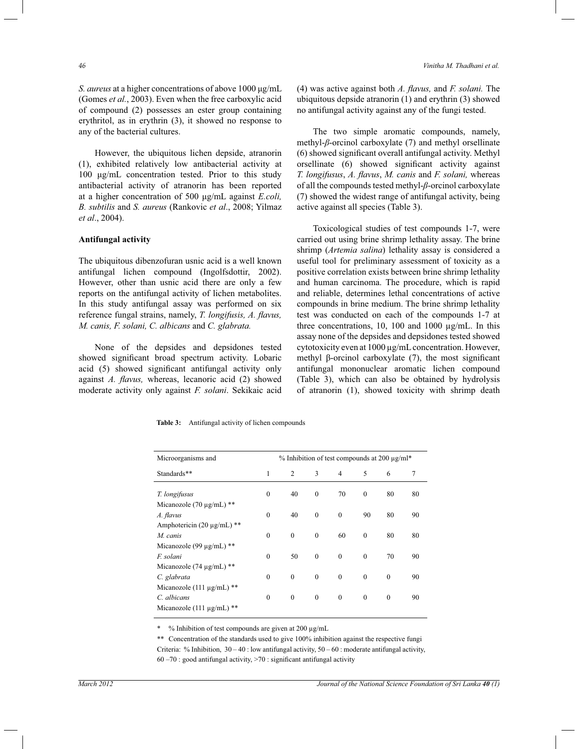*S. aureus* at a higher concentrations of above 1000 μg/mL (Gomes *et al.*, 2003). Even when the free carboxylic acid of compound (2) possesses an ester group containing erythritol, as in erythrin (3), it showed no response to any of the bacterial cultures.

 However, the ubiquitous lichen depside, atranorin (1), exhibited relatively low antibacterial activity at 100 μg/mL concentration tested. Prior to this study antibacterial activity of atranorin has been reported at a higher concentration of 500 μg/mL against *E.coli, B. subtilis* and *S. aureus* (Rankovic *et al*., 2008; Yilmaz *et al*., 2004).

# **Antifungal activity**

The ubiquitous dibenzofuran usnic acid is a well known antifungal lichen compound (Ingolfsdottir, 2002). However, other than usnic acid there are only a few reports on the antifungal activity of lichen metabolites. In this study antifungal assay was performed on six reference fungal strains, namely, *T. longifusis, A. flavus, M. canis, F. solani, C. albicans* and *C. glabrata.* 

 None of the depsides and depsidones tested showed significant broad spectrum activity. Lobaric acid (5) showed significant antifungal activity only against *A. flavus,* whereas, lecanoric acid (2) showed moderate activity only against *F. solani*. Sekikaic acid (4) was active against both *A. flavus,* and *F. solani.* The ubiquitous depside atranorin (1) and erythrin (3) showed no antifungal activity against any of the fungi tested.

 The two simple aromatic compounds, namely, methyl-*β*-orcinol carboxylate (7) and methyl orsellinate (6) showed significant overall antifungal activity. Methyl orsellinate (6) showed significant activity against *T. longifusus*, *A. flavus*, *M. canis* and *F. solani,* whereas of all the compounds tested methyl-*β*-orcinol carboxylate (7) showed the widest range of antifungal activity, being active against all species (Table 3).

Toxicological studies of test compounds 1-7, were carried out using brine shrimp lethality assay. The brine shrimp (*Artemia salina*) lethality assay is considered a useful tool for preliminary assessment of toxicity as a positive correlation exists between brine shrimp lethality and human carcinoma. The procedure, which is rapid and reliable, determines lethal concentrations of active compounds in brine medium. The brine shrimp lethality test was conducted on each of the compounds 1-7 at three concentrations, 10, 100 and 1000  $\mu$ g/mL. In this assay none of the depsides and depsidones tested showed cytotoxicity even at 1000 µg/mL concentration. However, methyl β-orcinol carboxylate (7), the most significant antifungal mononuclear aromatic lichen compound (Table 3), which can also be obtained by hydrolysis of atranorin (1), showed toxicity with shrimp death

| Table 3: |  |  |  | Antifungal activity of lichen compounds |
|----------|--|--|--|-----------------------------------------|
|----------|--|--|--|-----------------------------------------|

| Microorganisms and              | $\%$ Inhibition of test compounds at 200 $\mu$ g/ml* |              |              |                |              |              |    |
|---------------------------------|------------------------------------------------------|--------------|--------------|----------------|--------------|--------------|----|
| Standards**                     | 1                                                    | 2            | 3            | $\overline{4}$ | 5            | 6            | 7  |
| T. longifusus                   | $\mathbf{0}$                                         | 40           | $\mathbf{0}$ | 70             | $\mathbf{0}$ | 80           | 80 |
| Micanozole (70 $\mu$ g/mL) **   |                                                      |              |              |                |              |              |    |
| A. flavus                       | $\theta$                                             | 40           | $\mathbf{0}$ | $\theta$       | 90           | 80           | 90 |
| Amphotericin (20 $\mu$ g/mL) ** |                                                      |              |              |                |              |              |    |
| M. canis                        | $\mathbf{0}$                                         | $\mathbf{0}$ | $\mathbf{0}$ | 60             | $\mathbf{0}$ | 80           | 80 |
| Micanozole (99 $\mu$ g/mL) **   |                                                      |              |              |                |              |              |    |
| F. solani                       | $\theta$                                             | 50           | $\mathbf{0}$ | $\mathbf{0}$   | $\mathbf{0}$ | 70           | 90 |
| Micanozole $(74 \mu g/mL)$ **   |                                                      |              |              |                |              |              |    |
| C. glabrata                     | $\theta$                                             | $\theta$     | $\mathbf{0}$ | $\theta$       | $\theta$     | $\mathbf{0}$ | 90 |
| Micanozole (111 $\mu$ g/mL) **  |                                                      |              |              |                |              |              |    |
| C. albicans                     | $\theta$                                             | $\mathbf{0}$ | $\mathbf{0}$ | $\mathbf{0}$   | $\mathbf{0}$ | $\mathbf{0}$ | 90 |
| Micanozole (111 $\mu$ g/mL) **  |                                                      |              |              |                |              |              |    |

% Inhibition of test compounds are given at 200  $\mu$ g/mL

\*\* Concentration of the standards used to give 100% inhibition against the respective fungi Criteria: % Inhibition, 30 *–* 40 : low antifungal activity, 50 *–* 60 : moderate antifungal activity, 60 *–*70 : good antifungal activity, >70 : significant antifungal activity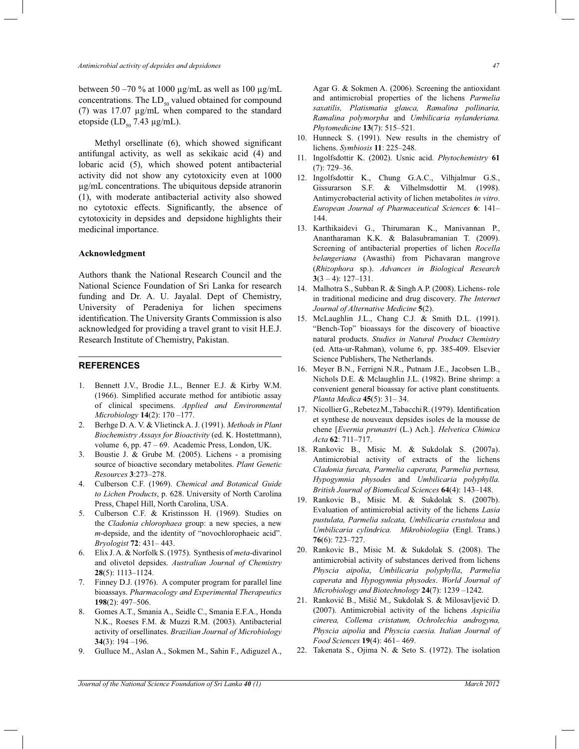between 50 *–*70 % at 1000 µg/mL as well as 100 µg/mL concentrations. The  $LD_{50}$  valued obtained for compound (7) was 17.07 µg/mL when compared to the standard etopside (LD $_{50}$  7.43 µg/mL).

 Methyl orsellinate (6), which showed significant antifungal activity, as well as sekikaic acid (4) and lobaric acid (5), which showed potent antibacterial activity did not show any cytotoxicity even at 1000 µg/mL concentrations. The ubiquitous depside atranorin (1), with moderate antibacterial activity also showed no cytotoxic effects. Significantly, the absence of cytotoxicity in depsides and depsidone highlights their medicinal importance.

#### **Acknowledgment**

Authors thank the National Research Council and the National Science Foundation of Sri Lanka for research funding and Dr. A. U. Jayalal. Dept of Chemistry, University of Peradeniya for lichen specimens identification. The University Grants Commission is also acknowledged for providing a travel grant to visit H.E.J. Research Institute of Chemistry, Pakistan.

#### **REFERENCES**

- 1. Bennett J.V., Brodie J.L., Benner E.J. & Kirby W.M. (1966). Simplified accurate method for antibiotic assay of clinical specimens. *Applied and Environmental Microbiology* **14**(2): 170 *–*177.
- 2. Berhge D. A. V. & Vlietinck A. J. (1991). *Methods in Plant Biochemistry Assays for Bioactivity* (ed. K. Hostettmann), volume 6, pp. 47 *–* 69. Academic Press, London, UK.
- 3. Boustie J. & Grube M. (2005). Lichens a promising source of bioactive secondary metabolites. *Plant Genetic Resources* **3**:273*–*278.
- 4. Culberson C.F. (1969). *Chemical and Botanical Guide to Lichen Products*, p. 628. University of North Carolina Press, Chapel Hill, North Carolina, USA.
- 5. Culberson C.F. & Kristinsson H. (1969). Studies on the *Cladonia chlorophaea* group: a new species, a new *m*-depside, and the identity of "novochlorophaeic acid". *Bryologist* **72**: 431*–* 443.
- 6. Elix J. A. & Norfolk S. (1975). Synthesis of *meta*-divarinol and olivetol depsides. *Australian Journal of Chemistry* **28**(5): 1113*–*1124.
- 7. Finney D.J. (1976). A computer program for parallel line bioassays. *Pharmacology and Experimental Therapeutics*  **198**(2): 497*–*506.
- 8. Gomes A.T., Smania A., Seidle C., Smania E.F.A., Honda N.K., Roeses F.M. & Muzzi R.M. (2003). Antibacterial activity of orsellinates. *Brazilian Journal of Microbiology*  **34**(3): 194 *–*196.
- 9. Gulluce M., Aslan A., Sokmen M., Sahin F., Adiguzel A.,

Agar G. & Sokmen A. (2006). Screening the antioxidant and antimicrobial properties of the lichens *Parmelia saxatilis, Platismatia glauca, Ramalina pollinaria, Ramalina polymorpha* and *Umbilicaria nylanderiana.* 

10. Hunneck S. (1991). New results in the chemistry of lichens. *Symbiosis* **11**: 225*–*248.

*Phytomedicine* **13**(7): 515–521.

- 11. Ingolfsdottir K. (2002). Usnic acid. *Phytochemistry* **61** (7): 729*–*36.
- 12. Ingolfsdottir K., Chung G.A.C., Vilhjalmur G.S., Gissurarson S.F. & Vilhelmsdottir M. (1998). Antimycrobacterial activity of lichen metabolites *in vitro*. *European Journal of Pharmaceutical Sciences* **6**: 141*–* 144.
- 13. Karthikaidevi G., Thirumaran K., Manivannan P., Anantharaman K.K. & Balasubramanian T. (2009). Screening of antibacterial properties of lichen *Rocella belangeriana* (Awasthi) from Pichavaran mangrove (*Rhizophora* sp.). *Advances in Biological Research* **3**(3 *–* 4): 127*–*131.
- 14. Malhotra S., Subban R. & Singh A.P. (2008). Lichens- role in traditional medicine and drug discovery. *The Internet Journal of Alternative Medicine* **5**(2).
- 15. McLaughlin J.L., Chang C.J. & Smith D.L. (1991). "Bench-Top" bioassays for the discovery of bioactive natural products. *Studies in Natural Product Chemistry*  (ed. Atta-ur-Rahman), volume 6, pp. 385-409. Elsevier Science Publishers, The Netherlands.
- 16. Meyer B.N., Ferrigni N.R., Putnam J.E., Jacobsen L.B., Nichols D.E. & Mclaughlin J.L. (1982). Brine shrimp: a convenient general bioassay for active plant constituents. *Planta Medica* **45**(5): 31*–* 34.
- 17. Nicollier G., Rebetez M., Tabacchi R. (1979). Identification et synthese de nouveaux depsides isoles de la mousse de chene [*Evernia prunastri* (L.) Ach.]. *Helvetica Chimica Acta* **62**: 711*–*717.
- 18. Rankovic B., Misic M. & Sukdolak S. (2007a). Antimicrobial activity of extracts of the lichens *Cladonia furcata, Parmelia caperata, Parmelia pertusa, Hypogymnia physodes* and *Umbilicaria polyphylla. British Journal of Biomedical Sciences* **64**(4): 143*–*148.
- 19. Rankovic B., Misic M. & Sukdolak S. (2007b). Evaluation of antimicrobial activity of the lichens *Lasia pustulata, Parmelia sulcata, Umbilicaria crustulosa* and *Umbilicaria cylindrica. Mikrobiologiia* (Engl. Trans.) **76**(6): 723*–*727.
- 20. Rankovic B., Misic M. & Sukdolak S. (2008). The antimicrobial activity of substances derived from lichens *Physcia aipolia*, *Umbilicaria polyphylla*, *Parmelia caperata* and *Hypogymnia physodes*. *World Journal of Microbiology and Biotechnology* **24**(7): 1239 *–*1242.
- 21. Ranković B., Mišić M., Sukdolak S. & Milosavljević D. (2007). Antimicrobial activity of the lichens *Aspicilia cinerea, Collema cristatum, Ochrolechia androgyna, Physcia aipolia* and *Physcia caesia. Italian Journal of Food Sciences* **19**(4): 461– 469.
- 22. Takenata S., Ojima N. & Seto S. (1972). The isolation